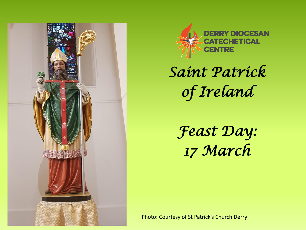



*Saint Patrick of Ireland* 

*Feast Day: 17 March* 

Photo: Courtesy of St Patrick's Church Derry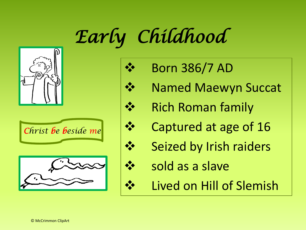## *Early Childhood*











- **Named Maewyn Succat**
- ❖ Rich Roman family
- ❖ Captured at age of 16
- Seized by Irish raiders
- sold as a slave
- Lived on Hill of Slemish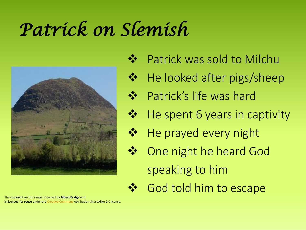### *Patrick on Slemish*



The copyright on this image is owned by **Albert Bridge** and is licensed for reuse under the [Creative Commons](https://commons.wikimedia.org/wiki/Creative_Commons) Attribution-ShareAlike 2.0 license.

- Patrick was sold to Milchu
- ❖ He looked after pigs/sheep
- ❖ Patrick's life was hard
- ❖ He spent 6 years in captivity
	- He prayed every night
- ❖ One night he heard God speaking to him
	- God told him to escape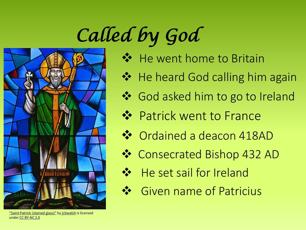# *Called by God*



He went home to Britain

- ❖ He heard God calling him again
- ❖ God asked him to go to Ireland
- ❖ Patrick went to France
- ❖ Ordained a deacon 418AD
- ❖ Consecrated Bishop 432 AD
	- He set sail for Ireland
	- ❖ Given name of Patricius

["Saint Patrick \(stained glass\)"](https://www.flickr.com/photos/36520408@N02/5536198224) by [jcbwalsh](https://www.flickr.com/photos/36520408@N02) is licensed under [CC BY-NC 2.0](https://creativecommons.org/licenses/by-nc/2.0/?ref=ccsearch&atype=rich)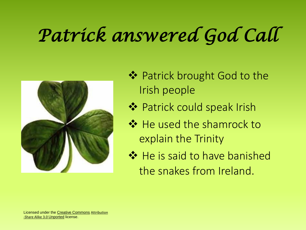## *Patrick answered God Call*



- ❖ Patrick brought God to the Irish people
- ❖ Patrick could speak Irish
- ❖ He used the shamrock to explain the Trinity
- ❖ He is said to have banished the snakes from Ireland.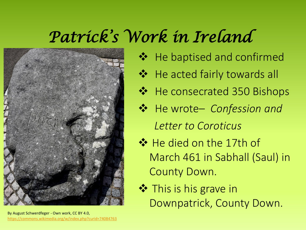#### *Patrick's Work in Ireland*



- He baptised and confirmed ❖ He acted fairly towards all ❖ He consecrated 350 Bishops ❖ He wrote– *Confession and Letter to Coroticus* ❖ He died on the 17th of
- March 461 in Sabhall (Saul) in County Down.
- **❖** This is his grave in Downpatrick, County Down.